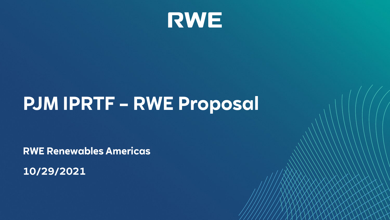

# **PJM IPRTF – RWE Proposal**

**RWE Renewables Americas** 

**10/29/2021**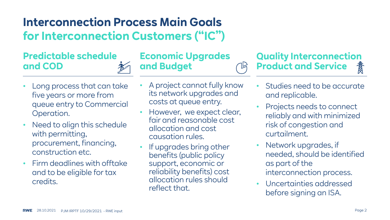## **Interconnection Process Main Goals for Interconnection Customers ("IC")**

### **Predictable schedule and COD**

- Long process that can take five years or more from queue entry to Commercial Operation.
- Need to align this schedule with permitting, procurement, financing, construction etc.
- Firm deadlines with offtake and to be eligible for tax credits.

• A project cannot fully know its network upgrades and costs at queue entry.

**Economic Upgrades** 

**and Budget**

- However, we expect clear, fair and reasonable cost allocation and cost causation rules.
- If upgrades bring other benefits (public policy support, economic or reliability benefits) cost allocation rules should reflect that.

#### **Quality Interconnection Product and Service** 鶩

- Studies need to be accurate and replicable.
- Projects needs to connect reliably and with minimized risk of congestion and curtailment.
- Network upgrades, if needed, should be identified as part of the interconnection process.
- Uncertainties addressed before signing an ISA.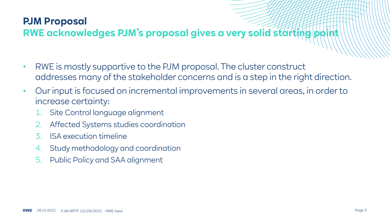### **PJM Proposal**

## **RWE acknowledges PJM's proposal gives a very solid starting p**

- RWE is mostly supportive to the PJM proposal. The cluster construct addresses many of the stakeholder concerns and is a step in the right direction.
- Our input is focused on incremental improvements in several areas, in order to increase certainty:
	- Site Control language alignment
	- 2. Affected Systems studies coordination
	- 3. ISA execution timeline
	- 4. Study methodology and coordination
	- 5. Public Policy and SAA alignment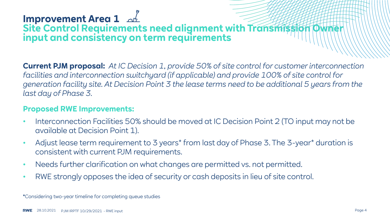## **Improvement Area 1**

### **Site Control Requirements need alignment with Transmission input and consistency on term requirements**

**Current PJM proposal:** *At IC Decision 1, provide 50% of site control for customer interconnection facilities and interconnection switchyard (if applicable) and provide 100% of site control for generation facility site. At Decision Point 3 the lease terms need to be additional 5 years from the last day of Phase 3.*

### **Proposed RWE Improvements:**

- Interconnection Facilities 50% should be moved at IC Decision Point 2 (TO input may not be available at Decision Point 1).
- Adjust lease term requirement to 3 years\* from last day of Phase 3. The 3-year\* duration is consistent with current PJM requirements.
- Needs further clarification on what changes are permitted vs. not permitted.
- RWE strongly opposes the idea of security or cash deposits in lieu of site control.

**\***Considering two-year timeline for completing queue studies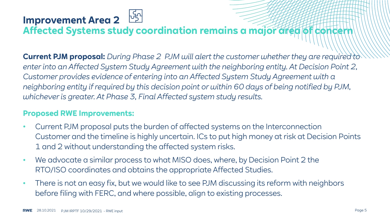## **Improvement Area 2**

**Affected Systems study coordination remains a major area of concern**

**Current PJM proposal:** *During Phase 2 PJM will alert the customer whether they are required to enter into an Affected System Study Agreement with the neighboring entity. At Decision Point 2, Customer provides evidence of entering into an Affected System Study Agreement with a neighboring entity if required by this decision point or within 60 days of being notified by PJM, whichever is greater. At Phase 3, Final Affected system study results.*

- Current PJM proposal puts the burden of affected systems on the Interconnection Customer and the timeline is highly uncertain. ICs to put high money at risk at Decision Points 1 and 2 without understanding the affected system risks.
- We advocate a similar process to what MISO does, where, by Decision Point 2 the RTO/ISO coordinates and obtains the appropriate Affected Studies.
- There is not an easy fix, but we would like to see PJM discussing its reform with neighbors before filing with FERC, and where possible, align to existing processes.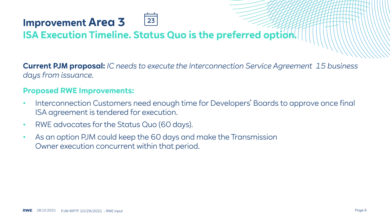## **Improvement Area 3**

## **ISA Execution Timeline. Status Quo is the preferred option.**

23

**Current PJM proposal:** *IC needs to execute the Interconnection Service Agreement 15 business days from issuance.*

- Interconnection Customers need enough time for Developers' Boards to approve once final ISA agreement is tendered for execution.
- RWE advocates for the Status Quo (60 days).
- As an option PJM could keep the 60 days and make the Transmission Owner execution concurrent within that period.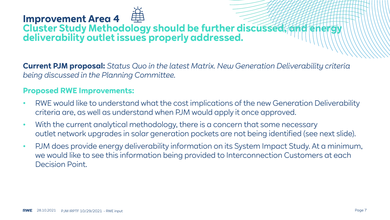### **Improvement Area 4 Cluster Study Methodology should be further discussed, and energy deliverability outlet issues properly addressed.**

**Current PJM proposal:** *Status Quo in the latest Matrix. New Generation Deliverability criteria being discussed in the Planning Committee.*

- RWE would like to understand what the cost implications of the new Generation Deliverability criteria are, as well as understand when PJM would apply it once approved.
- With the current analytical methodology, there is a concern that some necessary outlet network upgrades in solar generation pockets are not being identified (see next slide).
- PJM does provide energy deliverability information on its System Impact Study. At a minimum, we would like to see this information being provided to Interconnection Customers at each Decision Point.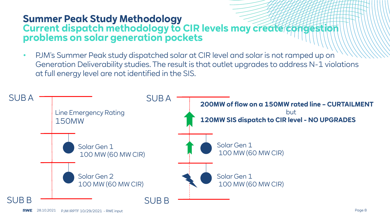### **Summer Peak Study Methodology Current dispatch methodology to CIR levels may create congesti problems on solar generation pockets**

• PJM's Summer Peak study dispatched solar at CIR level and solar is not ramped up on Generation Deliverability studies. The result is that outlet upgrades to address N-1 violations at full energy level are not identified in the SIS.

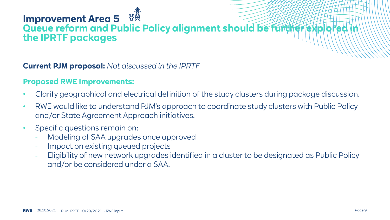## **Improvement Area 5 Queue reform and Public Policy alignment should be further exp the IPRTF packages**

### **Current PJM proposal:** *Not discussed in the IPRTF*

- Clarify geographical and electrical definition of the study clusters during package discussion.
- RWE would like to understand PJM's approach to coordinate study clusters with Public Policy and/or State Agreement Approach initiatives.
- Specific questions remain on:
	- Modeling of SAA upgrades once approved
	- Impact on existing queued projects
	- Eligibility of new network upgrades identified in a cluster to be designated as Public Policy and/or be considered under a SAA.